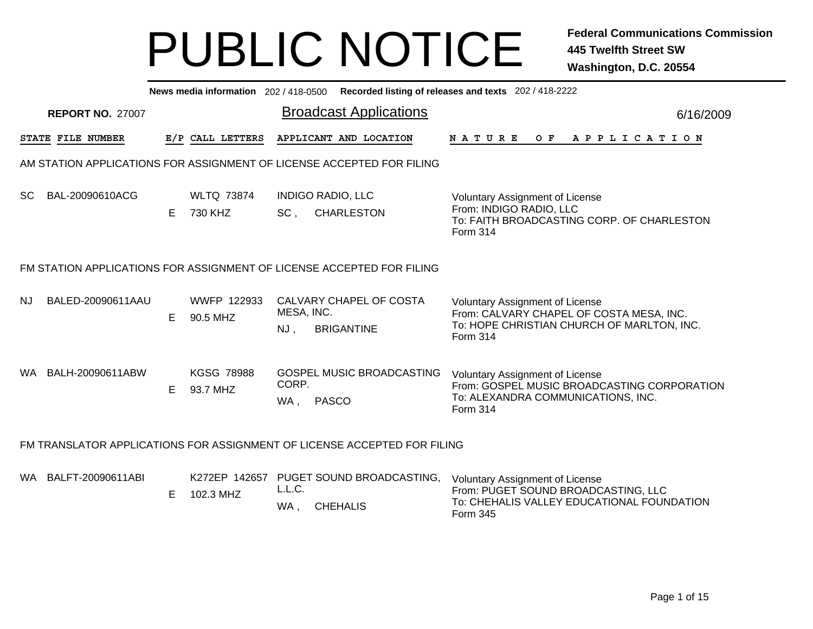|    |                                                                       |    |                                |                   | News media information 202/418-0500 Recorded listing of releases and texts 202/418-2222 |                                                                                                                                              |           |  |  |  |  |
|----|-----------------------------------------------------------------------|----|--------------------------------|-------------------|-----------------------------------------------------------------------------------------|----------------------------------------------------------------------------------------------------------------------------------------------|-----------|--|--|--|--|
|    | <b>REPORT NO. 27007</b>                                               |    |                                |                   | <b>Broadcast Applications</b>                                                           |                                                                                                                                              | 6/16/2009 |  |  |  |  |
|    | STATE FILE NUMBER                                                     |    | E/P CALL LETTERS               |                   | APPLICANT AND LOCATION                                                                  | NATURE OF APPLICATION                                                                                                                        |           |  |  |  |  |
|    |                                                                       |    |                                |                   | AM STATION APPLICATIONS FOR ASSIGNMENT OF LICENSE ACCEPTED FOR FILING                   |                                                                                                                                              |           |  |  |  |  |
| SC | BAL-20090610ACG                                                       | E  | <b>WLTQ 73874</b><br>730 KHZ   | $SC$ ,            | <b>INDIGO RADIO, LLC</b><br><b>CHARLESTON</b>                                           | <b>Voluntary Assignment of License</b><br>From: INDIGO RADIO, LLC<br>To: FAITH BROADCASTING CORP. OF CHARLESTON<br>Form 314                  |           |  |  |  |  |
|    | FM STATION APPLICATIONS FOR ASSIGNMENT OF LICENSE ACCEPTED FOR FILING |    |                                |                   |                                                                                         |                                                                                                                                              |           |  |  |  |  |
| NJ | BALED-20090611AAU                                                     | Е  | <b>WWFP 122933</b><br>90.5 MHZ | MESA, INC.<br>NJ, | CALVARY CHAPEL OF COSTA<br><b>BRIGANTINE</b>                                            | <b>Voluntary Assignment of License</b><br>From: CALVARY CHAPEL OF COSTA MESA, INC.<br>To: HOPE CHRISTIAN CHURCH OF MARLTON, INC.<br>Form 314 |           |  |  |  |  |
|    | WA BALH-20090611ABW                                                   | E. | <b>KGSG 78988</b><br>93.7 MHZ  | CORP.<br>WA.      | <b>GOSPEL MUSIC BROADCASTING</b><br><b>PASCO</b>                                        | Voluntary Assignment of License<br>From: GOSPEL MUSIC BROADCASTING CORPORATION<br>To: ALEXANDRA COMMUNICATIONS, INC.<br>Form 314             |           |  |  |  |  |
|    |                                                                       |    |                                |                   | FM TRANSLATOR APPLICATIONS FOR ASSIGNMENT OF LICENSE ACCEPTED FOR FILING                |                                                                                                                                              |           |  |  |  |  |
|    | WA BALFT-20090611ABI                                                  | E  | 102.3 MHZ                      | L.L.C.<br>WA,     | K272EP 142657 PUGET SOUND BROADCASTING,<br><b>CHEHALIS</b>                              | <b>Voluntary Assignment of License</b><br>From: PUGET SOUND BROADCASTING, LLC<br>To: CHEHALIS VALLEY EDUCATIONAL FOUNDATION<br>Form 345      |           |  |  |  |  |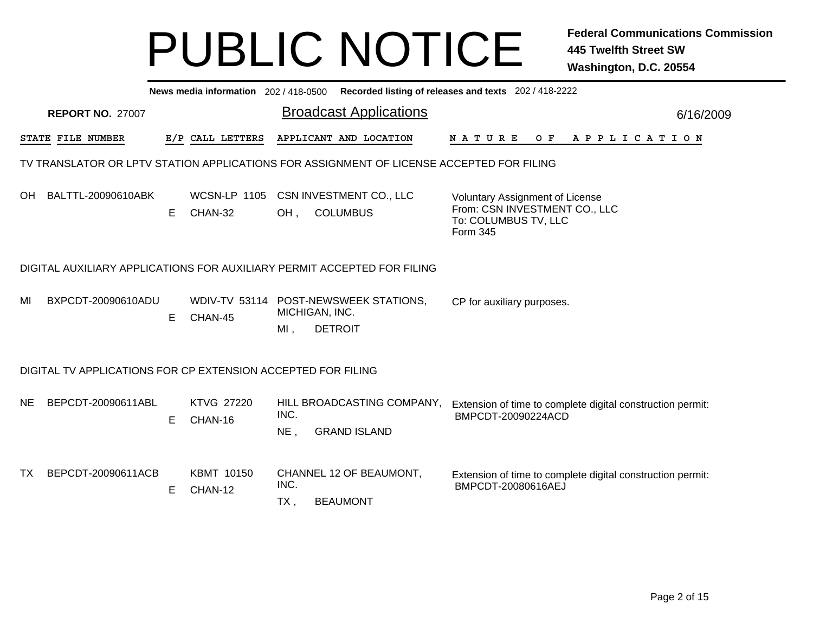|                                                                         | News media information 202 / 418-0500 Recorded listing of releases and texts 202 / 418-2222 |   |                                |             |                                                                                          |                                                                                                             |           |  |  |  |  |  |
|-------------------------------------------------------------------------|---------------------------------------------------------------------------------------------|---|--------------------------------|-------------|------------------------------------------------------------------------------------------|-------------------------------------------------------------------------------------------------------------|-----------|--|--|--|--|--|
|                                                                         | <b>REPORT NO. 27007</b>                                                                     |   |                                |             | <b>Broadcast Applications</b>                                                            |                                                                                                             | 6/16/2009 |  |  |  |  |  |
|                                                                         | STATE FILE NUMBER                                                                           |   | E/P CALL LETTERS               |             | APPLICANT AND LOCATION                                                                   | <b>NATURE</b><br>A P P L I C A T I O N<br>O F                                                               |           |  |  |  |  |  |
|                                                                         |                                                                                             |   |                                |             | TV TRANSLATOR OR LPTV STATION APPLICATIONS FOR ASSIGNMENT OF LICENSE ACCEPTED FOR FILING |                                                                                                             |           |  |  |  |  |  |
| OH.                                                                     | BALTTL-20090610ABK                                                                          | E | <b>WCSN-LP 1105</b><br>CHAN-32 | OH.         | CSN INVESTMENT CO., LLC<br><b>COLUMBUS</b>                                               | <b>Voluntary Assignment of License</b><br>From: CSN INVESTMENT CO., LLC<br>To: COLUMBUS TV, LLC<br>Form 345 |           |  |  |  |  |  |
| DIGITAL AUXILIARY APPLICATIONS FOR AUXILIARY PERMIT ACCEPTED FOR FILING |                                                                                             |   |                                |             |                                                                                          |                                                                                                             |           |  |  |  |  |  |
| MI                                                                      | BXPCDT-20090610ADU                                                                          | Е | CHAN-45                        | $MI$ ,      | WDIV-TV 53114 POST-NEWSWEEK STATIONS,<br>MICHIGAN, INC.<br><b>DETROIT</b>                | CP for auxiliary purposes.                                                                                  |           |  |  |  |  |  |
|                                                                         | DIGITAL TV APPLICATIONS FOR CP EXTENSION ACCEPTED FOR FILING                                |   |                                |             |                                                                                          |                                                                                                             |           |  |  |  |  |  |
| <b>NE</b>                                                               | BEPCDT-20090611ABL                                                                          | Е | <b>KTVG 27220</b><br>CHAN-16   | INC.<br>NE, | HILL BROADCASTING COMPANY,<br><b>GRAND ISLAND</b>                                        | Extension of time to complete digital construction permit:<br>BMPCDT-20090224ACD                            |           |  |  |  |  |  |
| TX                                                                      | BEPCDT-20090611ACB                                                                          | Е | <b>KBMT 10150</b><br>CHAN-12   | INC.<br>TX, | CHANNEL 12 OF BEAUMONT,<br><b>BEAUMONT</b>                                               | Extension of time to complete digital construction permit:<br>BMPCDT-20080616AEJ                            |           |  |  |  |  |  |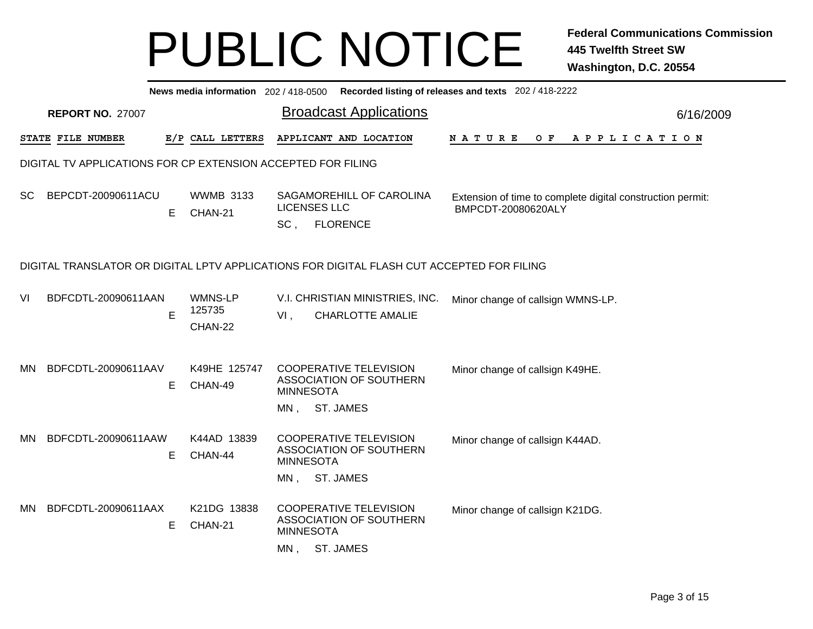|     | News media information 202 / 418-0500 Recorded listing of releases and texts 202 / 418-2222 |    |                              |                                                                                                                                                                  |           |  |  |  |  |  |  |  |
|-----|---------------------------------------------------------------------------------------------|----|------------------------------|------------------------------------------------------------------------------------------------------------------------------------------------------------------|-----------|--|--|--|--|--|--|--|
|     | <b>REPORT NO. 27007</b>                                                                     |    |                              | <b>Broadcast Applications</b>                                                                                                                                    | 6/16/2009 |  |  |  |  |  |  |  |
|     | STATE FILE NUMBER                                                                           |    | E/P CALL LETTERS             | APPLICANT AND LOCATION<br>N A T U R E<br>O F<br>A P P L I C A T I O N                                                                                            |           |  |  |  |  |  |  |  |
|     | DIGITAL TV APPLICATIONS FOR CP EXTENSION ACCEPTED FOR FILING                                |    |                              |                                                                                                                                                                  |           |  |  |  |  |  |  |  |
| SC. | BEPCDT-20090611ACU                                                                          | Е  | <b>WWMB 3133</b><br>CHAN-21  | SAGAMOREHILL OF CAROLINA<br>Extension of time to complete digital construction permit:<br><b>LICENSES LLC</b><br>BMPCDT-20080620ALY<br>$SC$ ,<br><b>FLORENCE</b> |           |  |  |  |  |  |  |  |
|     | DIGITAL TRANSLATOR OR DIGITAL LPTV APPLICATIONS FOR DIGITAL FLASH CUT ACCEPTED FOR FILING   |    |                              |                                                                                                                                                                  |           |  |  |  |  |  |  |  |
| VI  | BDFCDTL-20090611AAN                                                                         | E  | WMNS-LP<br>125735<br>CHAN-22 | V.I. CHRISTIAN MINISTRIES, INC.<br>Minor change of callsign WMNS-LP.<br><b>CHARLOTTE AMALIE</b><br>$VI$ ,                                                        |           |  |  |  |  |  |  |  |
| MN. | BDFCDTL-20090611AAV                                                                         | Е  | K49HE 125747<br>CHAN-49      | <b>COOPERATIVE TELEVISION</b><br>Minor change of callsign K49HE.<br>ASSOCIATION OF SOUTHERN<br><b>MINNESOTA</b><br>MN, ST. JAMES                                 |           |  |  |  |  |  |  |  |
| MN. | BDFCDTL-20090611AAW                                                                         | E. | K44AD 13839<br>CHAN-44       | <b>COOPERATIVE TELEVISION</b><br>Minor change of callsign K44AD.<br><b>ASSOCIATION OF SOUTHERN</b><br><b>MINNESOTA</b><br>ST. JAMES<br>MN,                       |           |  |  |  |  |  |  |  |
| MN. | BDFCDTL-20090611AAX                                                                         | Е  | K21DG 13838<br>CHAN-21       | <b>COOPERATIVE TELEVISION</b><br>Minor change of callsign K21DG.<br>ASSOCIATION OF SOUTHERN<br><b>MINNESOTA</b><br><b>ST. JAMES</b><br>MN,                       |           |  |  |  |  |  |  |  |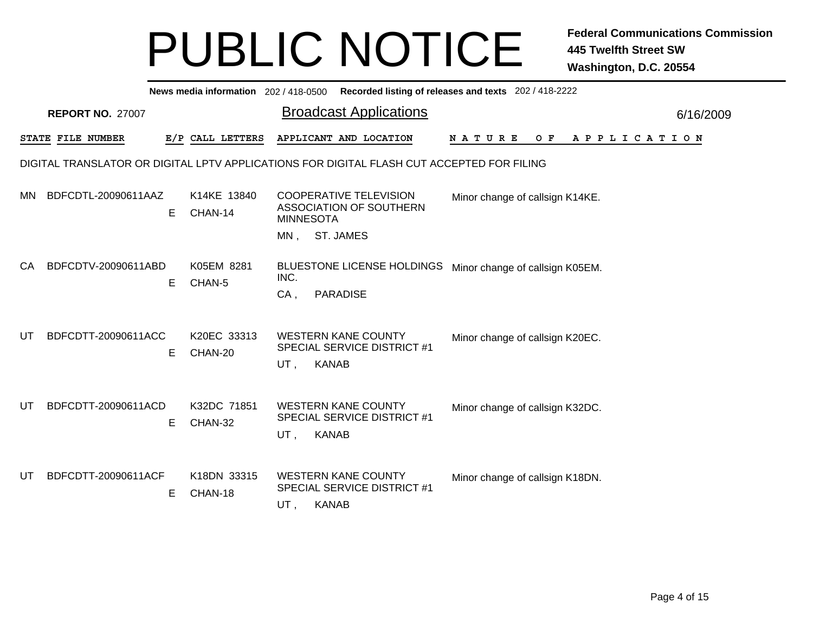|           | News media information 202/418-0500 Recorded listing of releases and texts 202/418-2222 |    |                        |                  |                                                                                           |                                 |                              |           |  |  |  |  |
|-----------|-----------------------------------------------------------------------------------------|----|------------------------|------------------|-------------------------------------------------------------------------------------------|---------------------------------|------------------------------|-----------|--|--|--|--|
|           | <b>REPORT NO. 27007</b>                                                                 |    |                        |                  | <b>Broadcast Applications</b>                                                             |                                 |                              | 6/16/2009 |  |  |  |  |
|           | STATE FILE NUMBER                                                                       |    | E/P CALL LETTERS       |                  | APPLICANT AND LOCATION                                                                    | N A T U R E                     | O F<br>A P P L I C A T I O N |           |  |  |  |  |
|           |                                                                                         |    |                        |                  | DIGITAL TRANSLATOR OR DIGITAL LPTV APPLICATIONS FOR DIGITAL FLASH CUT ACCEPTED FOR FILING |                                 |                              |           |  |  |  |  |
| <b>MN</b> | BDFCDTL-20090611AAZ                                                                     | Е  | K14KE 13840<br>CHAN-14 | <b>MINNESOTA</b> | <b>COOPERATIVE TELEVISION</b><br>ASSOCIATION OF SOUTHERN                                  | Minor change of callsign K14KE. |                              |           |  |  |  |  |
|           |                                                                                         |    |                        | MN.              | ST. JAMES                                                                                 |                                 |                              |           |  |  |  |  |
| CA        | BDFCDTV-20090611ABD                                                                     | Е  | K05EM 8281<br>CHAN-5   | INC.<br>$CA$ ,   | <b>BLUESTONE LICENSE HOLDINGS</b><br><b>PARADISE</b>                                      | Minor change of callsign K05EM. |                              |           |  |  |  |  |
| UT        | BDFCDTT-20090611ACC                                                                     | E  | K20EC 33313<br>CHAN-20 | UT,              | <b>WESTERN KANE COUNTY</b><br>SPECIAL SERVICE DISTRICT #1<br><b>KANAB</b>                 | Minor change of callsign K20EC. |                              |           |  |  |  |  |
| UT        | BDFCDTT-20090611ACD                                                                     | Е  | K32DC 71851<br>CHAN-32 | UT,              | <b>WESTERN KANE COUNTY</b><br><b>SPECIAL SERVICE DISTRICT #1</b><br><b>KANAB</b>          | Minor change of callsign K32DC. |                              |           |  |  |  |  |
| UT        | BDFCDTT-20090611ACF                                                                     | E. | K18DN 33315<br>CHAN-18 | UT,              | <b>WESTERN KANE COUNTY</b><br>SPECIAL SERVICE DISTRICT #1<br><b>KANAB</b>                 | Minor change of callsign K18DN. |                              |           |  |  |  |  |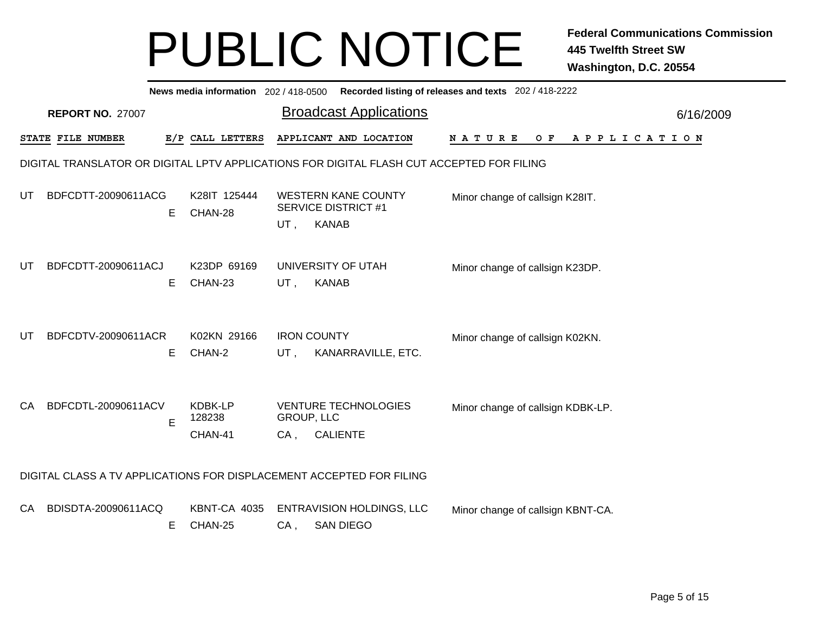|           | News media information 202/418-0500 Recorded listing of releases and texts 202/418-2222   |    |                              |                                   |              |                                                          |                                   |  |  |  |  |     |  |  |  |             |  |           |
|-----------|-------------------------------------------------------------------------------------------|----|------------------------------|-----------------------------------|--------------|----------------------------------------------------------|-----------------------------------|--|--|--|--|-----|--|--|--|-------------|--|-----------|
|           | <b>REPORT NO. 27007</b>                                                                   |    |                              |                                   |              | <b>Broadcast Applications</b>                            |                                   |  |  |  |  |     |  |  |  |             |  | 6/16/2009 |
|           | STATE FILE NUMBER                                                                         |    | E/P CALL LETTERS             |                                   |              | APPLICANT AND LOCATION                                   | NATURE                            |  |  |  |  | O F |  |  |  | APPLICATION |  |           |
|           | DIGITAL TRANSLATOR OR DIGITAL LPTV APPLICATIONS FOR DIGITAL FLASH CUT ACCEPTED FOR FILING |    |                              |                                   |              |                                                          |                                   |  |  |  |  |     |  |  |  |             |  |           |
| UT        | BDFCDTT-20090611ACG                                                                       | Е  | K28IT 125444<br>CHAN-28      | $UT$ ,                            | <b>KANAB</b> | <b>WESTERN KANE COUNTY</b><br><b>SERVICE DISTRICT #1</b> | Minor change of callsign K28IT.   |  |  |  |  |     |  |  |  |             |  |           |
| UT        | BDFCDTT-20090611ACJ                                                                       | E. | K23DP 69169<br>CHAN-23       | UT,                               | <b>KANAB</b> | UNIVERSITY OF UTAH                                       | Minor change of callsign K23DP.   |  |  |  |  |     |  |  |  |             |  |           |
| UT        | BDFCDTV-20090611ACR                                                                       | E. | K02KN 29166<br>CHAN-2        | <b>IRON COUNTY</b><br>UT,         |              | KANARRAVILLE, ETC.                                       | Minor change of callsign K02KN.   |  |  |  |  |     |  |  |  |             |  |           |
| <b>CA</b> | BDFCDTL-20090611ACV                                                                       | E  | KDBK-LP<br>128238<br>CHAN-41 | <b>GROUP, LLC</b><br>CA, CALIENTE |              | <b>VENTURE TECHNOLOGIES</b>                              | Minor change of callsign KDBK-LP. |  |  |  |  |     |  |  |  |             |  |           |
|           | DIGITAL CLASS A TV APPLICATIONS FOR DISPLACEMENT ACCEPTED FOR FILING                      |    |                              |                                   |              |                                                          |                                   |  |  |  |  |     |  |  |  |             |  |           |
| CA.       | BDISDTA-20090611ACQ                                                                       | Е  | KBNT-CA 4035<br>CHAN-25      | CA,                               |              | <b>ENTRAVISION HOLDINGS, LLC</b><br><b>SAN DIEGO</b>     | Minor change of callsign KBNT-CA. |  |  |  |  |     |  |  |  |             |  |           |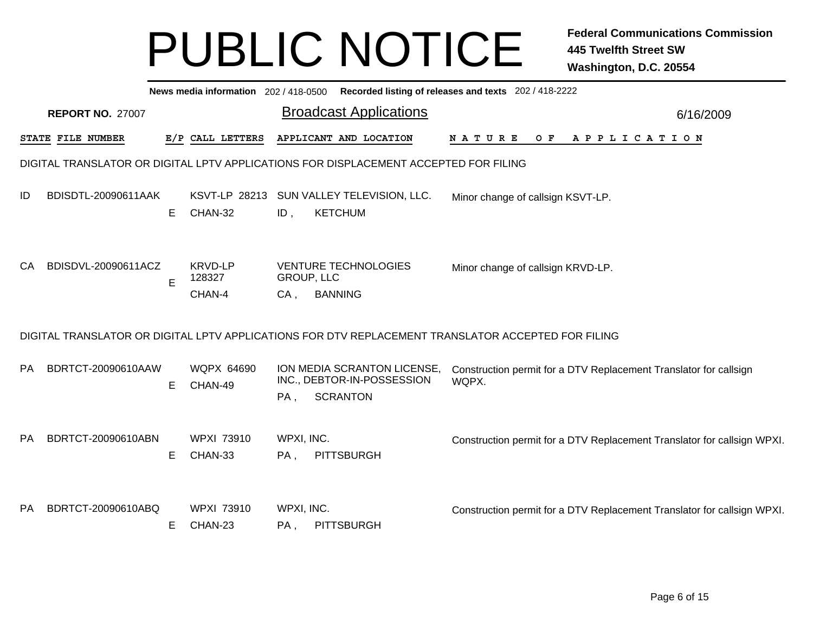|           |                         |    | News media information 202 / 418-0500 |                             |                                                                                      | Recorded listing of releases and texts 202 / 418-2222                                              |           |
|-----------|-------------------------|----|---------------------------------------|-----------------------------|--------------------------------------------------------------------------------------|----------------------------------------------------------------------------------------------------|-----------|
|           | <b>REPORT NO. 27007</b> |    |                                       |                             | <b>Broadcast Applications</b>                                                        |                                                                                                    | 6/16/2009 |
|           | STATE FILE NUMBER       |    | E/P CALL LETTERS                      |                             | APPLICANT AND LOCATION                                                               | N A T U R E<br>O F<br>A P P L I C A T I O N                                                        |           |
|           |                         |    |                                       |                             | DIGITAL TRANSLATOR OR DIGITAL LPTV APPLICATIONS FOR DISPLACEMENT ACCEPTED FOR FILING |                                                                                                    |           |
| ID        | BDISDTL-20090611AAK     | E  | CHAN-32                               | ID,                         | KSVT-LP 28213 SUN VALLEY TELEVISION, LLC.<br><b>KETCHUM</b>                          | Minor change of callsign KSVT-LP.                                                                  |           |
| CA        | BDISDVL-20090611ACZ     | E  | <b>KRVD-LP</b><br>128327<br>CHAN-4    | <b>GROUP, LLC</b><br>$CA$ , | <b>VENTURE TECHNOLOGIES</b><br><b>BANNING</b>                                        | Minor change of callsign KRVD-LP.                                                                  |           |
|           |                         |    |                                       |                             |                                                                                      | DIGITAL TRANSLATOR OR DIGITAL LPTV APPLICATIONS FOR DTV REPLACEMENT TRANSLATOR ACCEPTED FOR FILING |           |
| <b>PA</b> | BDRTCT-20090610AAW      | E. | <b>WQPX 64690</b><br>CHAN-49          | PA,                         | ION MEDIA SCRANTON LICENSE,<br>INC., DEBTOR-IN-POSSESSION<br><b>SCRANTON</b>         | Construction permit for a DTV Replacement Translator for callsign<br>WQPX.                         |           |
| <b>PA</b> | BDRTCT-20090610ABN      | E  | <b>WPXI 73910</b><br>CHAN-33          | WPXI, INC.<br>PA,           | PITTSBURGH                                                                           | Construction permit for a DTV Replacement Translator for callsign WPXI.                            |           |
| PA.       | BDRTCT-20090610ABQ      | Е  | <b>WPXI 73910</b><br>CHAN-23          | WPXI, INC.<br>PA,           | PITTSBURGH                                                                           | Construction permit for a DTV Replacement Translator for callsign WPXI.                            |           |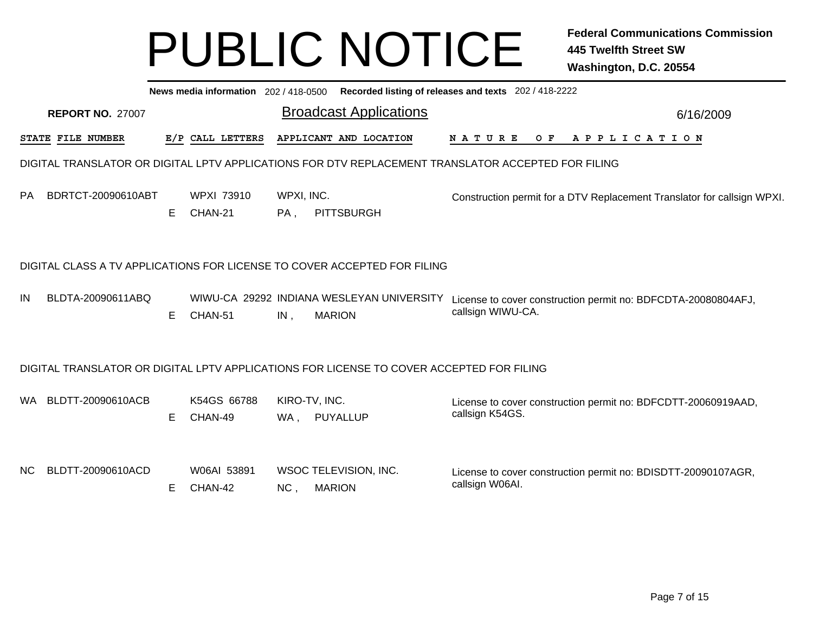|     | News media information 202 / 418-0500<br>Recorded listing of releases and texts 202 / 418-2222 |    |                              |                   |                                                                                          |                                                                                                    |           |  |  |  |  |
|-----|------------------------------------------------------------------------------------------------|----|------------------------------|-------------------|------------------------------------------------------------------------------------------|----------------------------------------------------------------------------------------------------|-----------|--|--|--|--|
|     | <b>REPORT NO. 27007</b>                                                                        |    |                              |                   | <b>Broadcast Applications</b>                                                            |                                                                                                    | 6/16/2009 |  |  |  |  |
|     | STATE FILE NUMBER                                                                              |    | E/P CALL LETTERS             |                   | APPLICANT AND LOCATION                                                                   | <b>NATURE</b><br>O F<br>A P P L I C A T I O N                                                      |           |  |  |  |  |
|     |                                                                                                |    |                              |                   |                                                                                          | DIGITAL TRANSLATOR OR DIGITAL LPTV APPLICATIONS FOR DTV REPLACEMENT TRANSLATOR ACCEPTED FOR FILING |           |  |  |  |  |
| PA. | BDRTCT-20090610ABT                                                                             | E. | <b>WPXI 73910</b><br>CHAN-21 | WPXI, INC.<br>PA, | <b>PITTSBURGH</b>                                                                        | Construction permit for a DTV Replacement Translator for callsign WPXI.                            |           |  |  |  |  |
|     | DIGITAL CLASS A TV APPLICATIONS FOR LICENSE TO COVER ACCEPTED FOR FILING                       |    |                              |                   |                                                                                          |                                                                                                    |           |  |  |  |  |
| IN  | BLDTA-20090611ABQ                                                                              | E. | CHAN-51                      | IN,               | WIWU-CA 29292 INDIANA WESLEYAN UNIVERSITY<br><b>MARION</b>                               | License to cover construction permit no: BDFCDTA-20080804AFJ,<br>callsign WIWU-CA.                 |           |  |  |  |  |
|     |                                                                                                |    |                              |                   | DIGITAL TRANSLATOR OR DIGITAL LPTV APPLICATIONS FOR LICENSE TO COVER ACCEPTED FOR FILING |                                                                                                    |           |  |  |  |  |
| WA. | BLDTT-20090610ACB                                                                              | E. | K54GS 66788<br>CHAN-49       | WA,               | KIRO-TV, INC.<br>PUYALLUP                                                                | License to cover construction permit no: BDFCDTT-20060919AAD,<br>callsign K54GS.                   |           |  |  |  |  |
| NC. | BLDTT-20090610ACD                                                                              | E. | W06AI 53891<br>CHAN-42       | NC,               | WSOC TELEVISION, INC.<br><b>MARION</b>                                                   | License to cover construction permit no: BDISDTT-20090107AGR,<br>callsign W06AI.                   |           |  |  |  |  |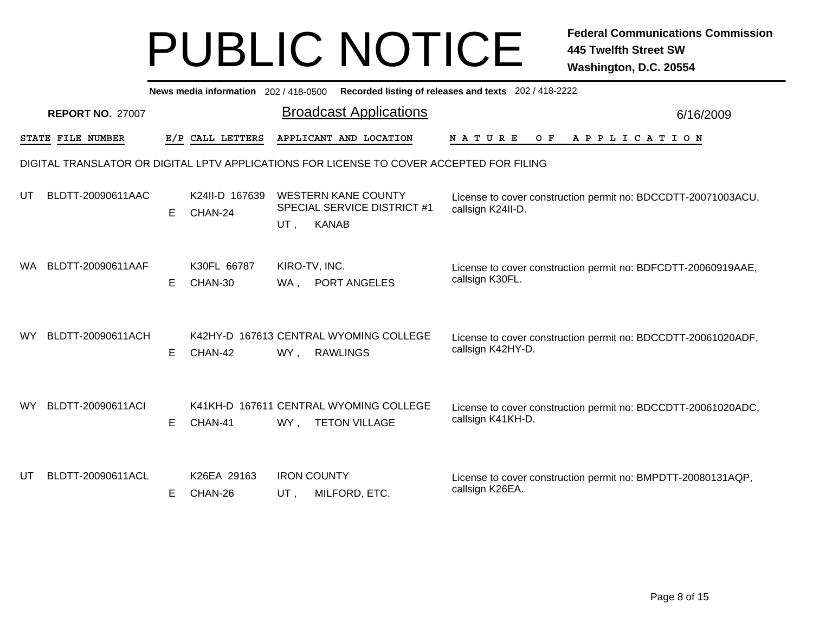|                                                                       | News media information 202 / 418-0500 Recorded listing of releases and texts 202 / 418-2222 |    |                           |                      |                                                                                          |                                                                                    |  |  |  |  |
|-----------------------------------------------------------------------|---------------------------------------------------------------------------------------------|----|---------------------------|----------------------|------------------------------------------------------------------------------------------|------------------------------------------------------------------------------------|--|--|--|--|
| <b>Broadcast Applications</b><br><b>REPORT NO. 27007</b><br>6/16/2009 |                                                                                             |    |                           |                      |                                                                                          |                                                                                    |  |  |  |  |
|                                                                       | STATE FILE NUMBER                                                                           |    | E/P CALL LETTERS          |                      | APPLICANT AND LOCATION                                                                   | N A T U R E<br>O F<br>A P P L I C A T I O N                                        |  |  |  |  |
|                                                                       |                                                                                             |    |                           |                      | DIGITAL TRANSLATOR OR DIGITAL LPTV APPLICATIONS FOR LICENSE TO COVER ACCEPTED FOR FILING |                                                                                    |  |  |  |  |
| UT                                                                    | BLDTT-20090611AAC                                                                           | E. | K24II-D 167639<br>CHAN-24 | UT,                  | <b>WESTERN KANE COUNTY</b><br><b>SPECIAL SERVICE DISTRICT #1</b><br><b>KANAB</b>         | License to cover construction permit no: BDCCDTT-20071003ACU,<br>callsign K24II-D. |  |  |  |  |
| WA.                                                                   | BLDTT-20090611AAF                                                                           | E. | K30FL 66787<br>CHAN-30    | KIRO-TV, INC.<br>WA. | PORT ANGELES                                                                             | License to cover construction permit no: BDFCDTT-20060919AAE,<br>callsign K30FL.   |  |  |  |  |
| WY                                                                    | BLDTT-20090611ACH                                                                           | E. | CHAN-42                   | WY,                  | K42HY-D 167613 CENTRAL WYOMING COLLEGE<br><b>RAWLINGS</b>                                | License to cover construction permit no: BDCCDTT-20061020ADF,<br>callsign K42HY-D. |  |  |  |  |
| WY                                                                    | BLDTT-20090611ACI                                                                           | E. | CHAN-41                   | WY.                  | K41KH-D 167611 CENTRAL WYOMING COLLEGE<br><b>TETON VILLAGE</b>                           | License to cover construction permit no: BDCCDTT-20061020ADC,<br>callsign K41KH-D. |  |  |  |  |
| UT                                                                    | BLDTT-20090611ACL                                                                           | E. | K26EA 29163<br>CHAN-26    | UT.                  | <b>IRON COUNTY</b><br>MILFORD, ETC.                                                      | License to cover construction permit no: BMPDTT-20080131AQP,<br>callsign K26EA.    |  |  |  |  |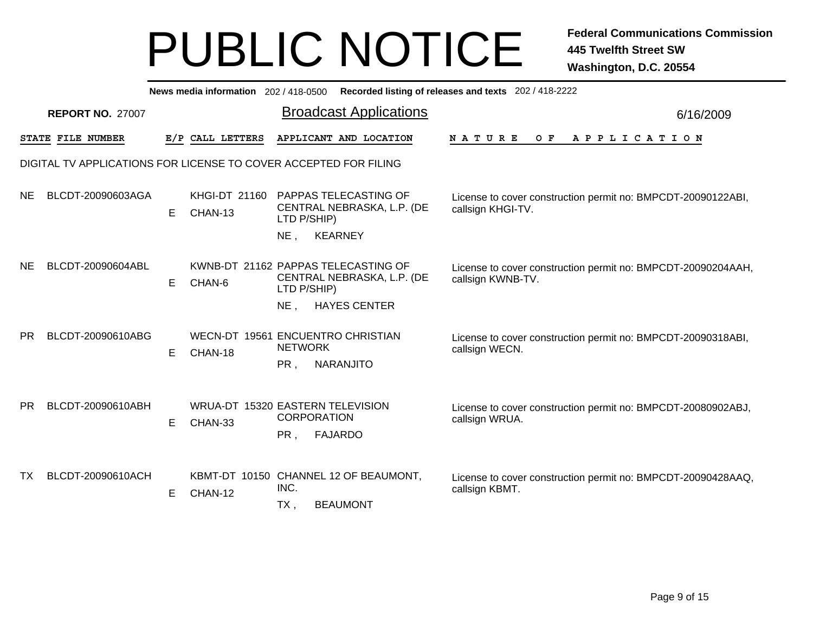|     | News media information 202 / 418-0500 Recorded listing of releases and texts 202 / 418-2222 |    |                          |                                                                                                       |                                                              |  |  |  |  |  |  |
|-----|---------------------------------------------------------------------------------------------|----|--------------------------|-------------------------------------------------------------------------------------------------------|--------------------------------------------------------------|--|--|--|--|--|--|
|     | <b>REPORT NO. 27007</b>                                                                     |    |                          | <b>Broadcast Applications</b>                                                                         | 6/16/2009                                                    |  |  |  |  |  |  |
|     | STATE FILE NUMBER                                                                           |    | E/P CALL LETTERS         | APPLICANT AND LOCATION<br><b>NATURE</b>                                                               | A P P L I C A T I O N<br>O F                                 |  |  |  |  |  |  |
|     |                                                                                             |    |                          | DIGITAL TV APPLICATIONS FOR LICENSE TO COVER ACCEPTED FOR FILING                                      |                                                              |  |  |  |  |  |  |
| NE. | BLCDT-20090603AGA                                                                           | E  | KHGI-DT 21160<br>CHAN-13 | PAPPAS TELECASTING OF<br>CENTRAL NEBRASKA, L.P. (DE<br>callsign KHGI-TV.<br>LTD P/SHIP)               | License to cover construction permit no: BMPCDT-20090122ABI, |  |  |  |  |  |  |
|     |                                                                                             |    |                          | <b>KEARNEY</b><br>$NE$ ,                                                                              |                                                              |  |  |  |  |  |  |
| NE. | BLCDT-20090604ABL                                                                           | E. | CHAN-6                   | KWNB-DT 21162 PAPPAS TELECASTING OF<br>CENTRAL NEBRASKA, L.P. (DE<br>callsign KWNB-TV.<br>LTD P/SHIP) | License to cover construction permit no: BMPCDT-20090204AAH, |  |  |  |  |  |  |
|     |                                                                                             |    |                          | $NE$ .<br><b>HAYES CENTER</b>                                                                         |                                                              |  |  |  |  |  |  |
| PR. | BLCDT-20090610ABG                                                                           | E  | CHAN-18                  | WECN-DT 19561 ENCUENTRO CHRISTIAN<br><b>NETWORK</b><br>callsign WECN.<br><b>NARANJITO</b><br>PR,      | License to cover construction permit no: BMPCDT-20090318ABI, |  |  |  |  |  |  |
|     |                                                                                             |    |                          |                                                                                                       |                                                              |  |  |  |  |  |  |
| PR. | BLCDT-20090610ABH                                                                           | E. | CHAN-33                  | WRUA-DT 15320 EASTERN TELEVISION<br><b>CORPORATION</b><br>callsign WRUA.<br><b>FAJARDO</b><br>PR,     | License to cover construction permit no: BMPCDT-20080902ABJ, |  |  |  |  |  |  |
| TX. | BLCDT-20090610ACH                                                                           | E. | CHAN-12                  | KBMT-DT 10150 CHANNEL 12 OF BEAUMONT,<br>INC.<br>callsign KBMT.<br><b>BEAUMONT</b><br>$TX$ ,          | License to cover construction permit no: BMPCDT-20090428AAQ, |  |  |  |  |  |  |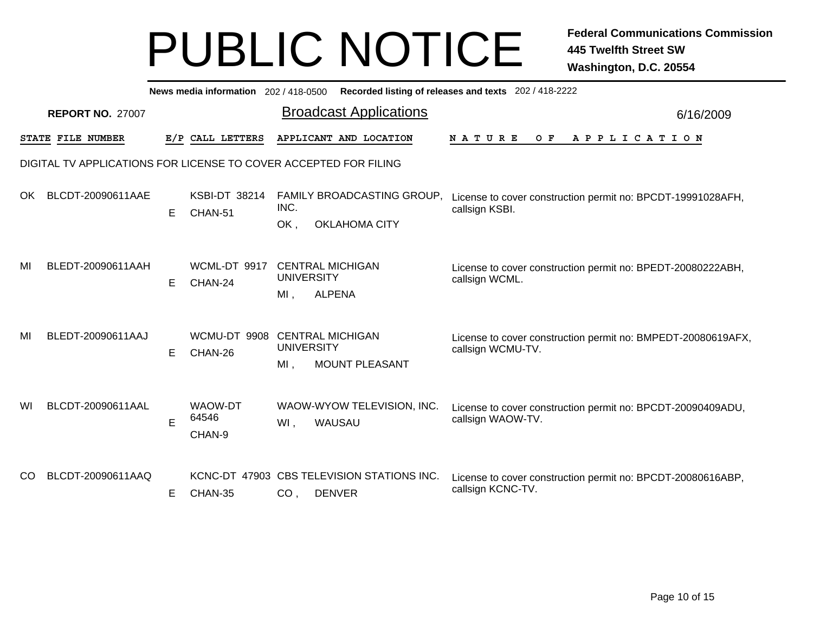|     | News media information 202/418-0500<br>Recorded listing of releases and texts 202 / 418-2222 |   |                                   |                          |                                                             |                                                                                   |           |  |  |  |  |
|-----|----------------------------------------------------------------------------------------------|---|-----------------------------------|--------------------------|-------------------------------------------------------------|-----------------------------------------------------------------------------------|-----------|--|--|--|--|
|     | <b>REPORT NO. 27007</b>                                                                      |   |                                   |                          | <b>Broadcast Applications</b>                               |                                                                                   | 6/16/2009 |  |  |  |  |
|     | STATE FILE NUMBER                                                                            |   | E/P CALL LETTERS                  |                          | APPLICANT AND LOCATION                                      | <b>NATURE</b><br>O F<br>A P P L I C A T I O N                                     |           |  |  |  |  |
|     | DIGITAL TV APPLICATIONS FOR LICENSE TO COVER ACCEPTED FOR FILING                             |   |                                   |                          |                                                             |                                                                                   |           |  |  |  |  |
| OK. | BLCDT-20090611AAE                                                                            | Е | <b>KSBI-DT 38214</b><br>CHAN-51   | INC.<br>OK.              | FAMILY BROADCASTING GROUP,<br><b>OKLAHOMA CITY</b>          | License to cover construction permit no: BPCDT-19991028AFH,<br>callsign KSBI.     |           |  |  |  |  |
| MI  | BLEDT-20090611AAH                                                                            | Е | WCML-DT 9917<br>CHAN-24           | <b>UNIVERSITY</b><br>MI. | <b>CENTRAL MICHIGAN</b><br><b>ALPENA</b>                    | License to cover construction permit no: BPEDT-20080222ABH,<br>callsign WCML.     |           |  |  |  |  |
| MI  | BLEDT-20090611AAJ                                                                            | E | WCMU-DT 9908<br>CHAN-26           | <b>UNIVERSITY</b><br>MI. | <b>CENTRAL MICHIGAN</b><br>MOUNT PLEASANT                   | License to cover construction permit no: BMPEDT-20080619AFX,<br>callsign WCMU-TV. |           |  |  |  |  |
| WI  | BLCDT-20090611AAL                                                                            | E | <b>WAOW-DT</b><br>64546<br>CHAN-9 | WI,                      | WAOW-WYOW TELEVISION, INC.<br>WAUSAU                        | License to cover construction permit no: BPCDT-20090409ADU,<br>callsign WAOW-TV.  |           |  |  |  |  |
| CO. | BLCDT-20090611AAQ                                                                            | Е | CHAN-35                           | CO <sub>1</sub>          | KCNC-DT 47903 CBS TELEVISION STATIONS INC.<br><b>DENVER</b> | License to cover construction permit no: BPCDT-20080616ABP,<br>callsign KCNC-TV.  |           |  |  |  |  |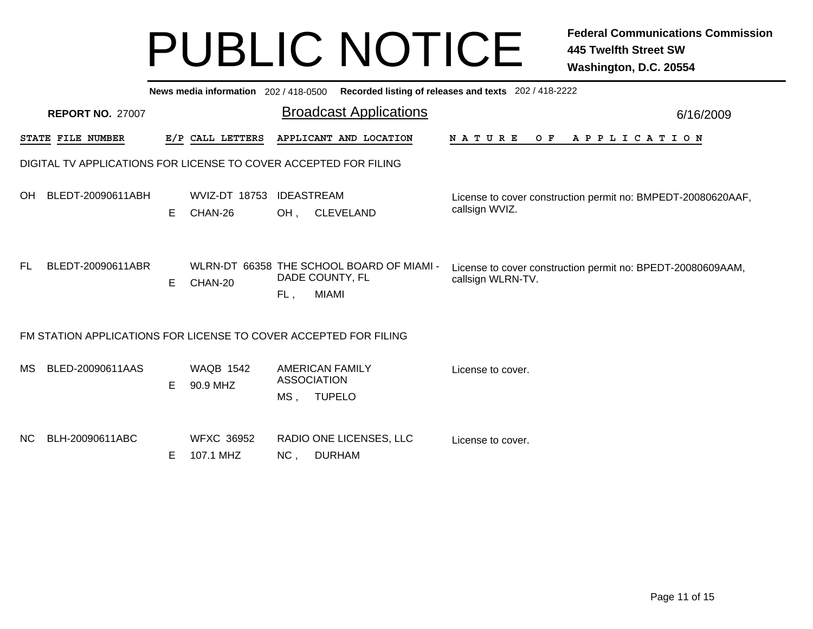|     | News media information 202 / 418-0500 Recorded listing of releases and texts 202 / 418-2222 |    |                                |                                                                                     |                                                                                  |  |  |  |  |  |  |  |
|-----|---------------------------------------------------------------------------------------------|----|--------------------------------|-------------------------------------------------------------------------------------|----------------------------------------------------------------------------------|--|--|--|--|--|--|--|
|     | <b>REPORT NO. 27007</b>                                                                     |    |                                | <b>Broadcast Applications</b>                                                       | 6/16/2009                                                                        |  |  |  |  |  |  |  |
|     | STATE FILE NUMBER                                                                           |    | E/P CALL LETTERS               | APPLICANT AND LOCATION                                                              | <b>NATURE</b><br>O F<br>A P P L I C A T I O N                                    |  |  |  |  |  |  |  |
|     |                                                                                             |    |                                | DIGITAL TV APPLICATIONS FOR LICENSE TO COVER ACCEPTED FOR FILING                    |                                                                                  |  |  |  |  |  |  |  |
| OH. | BLEDT-20090611ABH                                                                           | Е  | WVIZ-DT 18753<br>CHAN-26       | <b>IDEASTREAM</b><br>OH,<br><b>CLEVELAND</b>                                        | License to cover construction permit no: BMPEDT-20080620AAF,<br>callsign WVIZ.   |  |  |  |  |  |  |  |
| FL. | BLEDT-20090611ABR                                                                           | E  | CHAN-20                        | WLRN-DT 66358 THE SCHOOL BOARD OF MIAMI -<br>DADE COUNTY, FL<br><b>MIAMI</b><br>FL, | License to cover construction permit no: BPEDT-20080609AAM,<br>callsign WLRN-TV. |  |  |  |  |  |  |  |
|     |                                                                                             |    |                                | FM STATION APPLICATIONS FOR LICENSE TO COVER ACCEPTED FOR FILING                    |                                                                                  |  |  |  |  |  |  |  |
| MS  | BLED-20090611AAS                                                                            | E. | <b>WAQB 1542</b><br>90.9 MHZ   | <b>AMERICAN FAMILY</b><br><b>ASSOCIATION</b><br><b>TUPELO</b><br>$MS$ ,             | License to cover.                                                                |  |  |  |  |  |  |  |
| NC. | BLH-20090611ABC                                                                             | E  | <b>WFXC 36952</b><br>107.1 MHZ | RADIO ONE LICENSES, LLC<br><b>DURHAM</b><br>NC,                                     | License to cover.                                                                |  |  |  |  |  |  |  |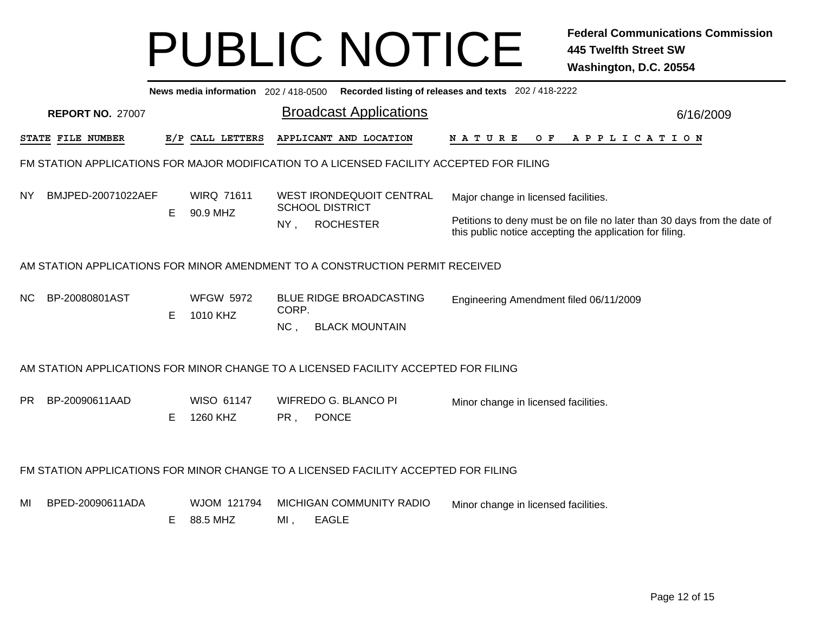|           | Recorded listing of releases and texts 202 / 418-2222<br>News media information 202/418-0500 |    |                               |        |                                                                                           |                                                                                                                                      |           |  |  |  |  |
|-----------|----------------------------------------------------------------------------------------------|----|-------------------------------|--------|-------------------------------------------------------------------------------------------|--------------------------------------------------------------------------------------------------------------------------------------|-----------|--|--|--|--|
|           | <b>REPORT NO. 27007</b>                                                                      |    |                               |        | <b>Broadcast Applications</b>                                                             |                                                                                                                                      | 6/16/2009 |  |  |  |  |
|           | STATE FILE NUMBER                                                                            |    | E/P CALL LETTERS              |        | APPLICANT AND LOCATION                                                                    | O F<br>A P P L I C A T I O N<br>N A T U R E                                                                                          |           |  |  |  |  |
|           |                                                                                              |    |                               |        | FM STATION APPLICATIONS FOR MAJOR MODIFICATION TO A LICENSED FACILITY ACCEPTED FOR FILING |                                                                                                                                      |           |  |  |  |  |
| NY.       | BMJPED-20071022AEF                                                                           | E. | <b>WIRQ 71611</b><br>90.9 MHZ |        | <b>WEST IRONDEQUOIT CENTRAL</b><br><b>SCHOOL DISTRICT</b>                                 | Major change in licensed facilities.                                                                                                 |           |  |  |  |  |
|           |                                                                                              |    |                               | $NY$ , | <b>ROCHESTER</b>                                                                          | Petitions to deny must be on file no later than 30 days from the date of<br>this public notice accepting the application for filing. |           |  |  |  |  |
|           | AM STATION APPLICATIONS FOR MINOR AMENDMENT TO A CONSTRUCTION PERMIT RECEIVED                |    |                               |        |                                                                                           |                                                                                                                                      |           |  |  |  |  |
| NC.       | BP-20080801AST                                                                               | Е  | <b>WFGW 5972</b><br>1010 KHZ  | CORP.  | <b>BLUE RIDGE BROADCASTING</b>                                                            | Engineering Amendment filed 06/11/2009                                                                                               |           |  |  |  |  |
|           |                                                                                              |    |                               | NC,    | <b>BLACK MOUNTAIN</b>                                                                     |                                                                                                                                      |           |  |  |  |  |
|           |                                                                                              |    |                               |        | AM STATION APPLICATIONS FOR MINOR CHANGE TO A LICENSED FACILITY ACCEPTED FOR FILING       |                                                                                                                                      |           |  |  |  |  |
| <b>PR</b> | BP-20090611AAD                                                                               |    | WISO 61147                    |        | WIFREDO G. BLANCO PI                                                                      | Minor change in licensed facilities.                                                                                                 |           |  |  |  |  |
|           |                                                                                              | E. | 1260 KHZ                      | PR,    | <b>PONCE</b>                                                                              |                                                                                                                                      |           |  |  |  |  |
|           | FM STATION APPLICATIONS FOR MINOR CHANGE TO A LICENSED FACILITY ACCEPTED FOR FILING          |    |                               |        |                                                                                           |                                                                                                                                      |           |  |  |  |  |
| MI        | BPED-20090611ADA                                                                             |    | WJOM 121794                   |        | MICHIGAN COMMUNITY RADIO                                                                  | Minor change in licensed facilities.                                                                                                 |           |  |  |  |  |
|           |                                                                                              | E. | 88.5 MHZ                      | MI,    | <b>EAGLE</b>                                                                              |                                                                                                                                      |           |  |  |  |  |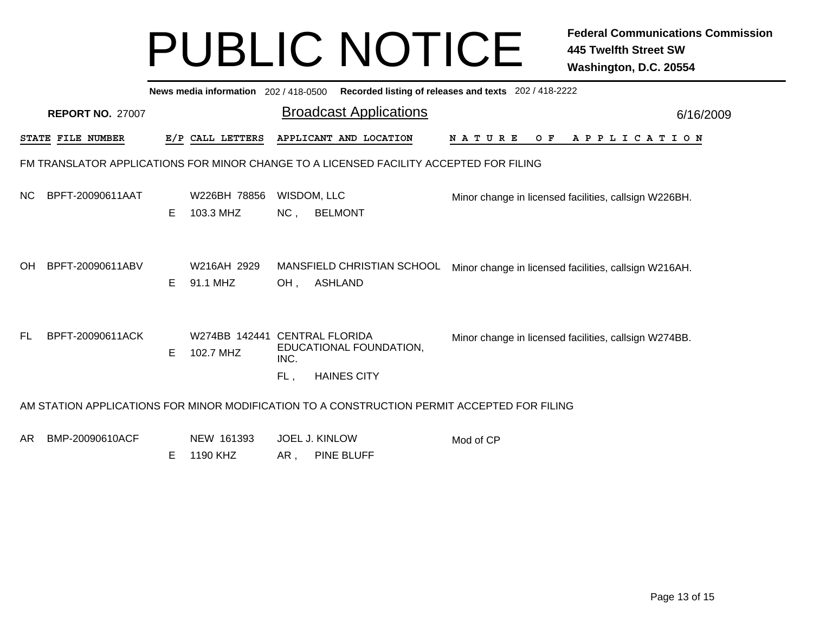|                                                                                             | News media information 202 / 418-0500 Recorded listing of releases and texts 202 / 418-2222 |   |                                            |                               |                                               |               |     |                                                       |  |  |
|---------------------------------------------------------------------------------------------|---------------------------------------------------------------------------------------------|---|--------------------------------------------|-------------------------------|-----------------------------------------------|---------------|-----|-------------------------------------------------------|--|--|
| <b>REPORT NO. 27007</b>                                                                     |                                                                                             |   |                                            | <b>Broadcast Applications</b> |                                               | 6/16/2009     |     |                                                       |  |  |
|                                                                                             | STATE FILE NUMBER                                                                           |   | E/P CALL LETTERS                           |                               | APPLICANT AND LOCATION                        | <b>NATURE</b> | O F | A P P L I C A T I O N                                 |  |  |
| FM TRANSLATOR APPLICATIONS FOR MINOR CHANGE TO A LICENSED FACILITY ACCEPTED FOR FILING      |                                                                                             |   |                                            |                               |                                               |               |     |                                                       |  |  |
| NС                                                                                          | BPFT-20090611AAT                                                                            | Е | W226BH 78856<br>103.3 MHZ                  | NC,                           | WISDOM, LLC<br><b>BELMONT</b>                 |               |     | Minor change in licensed facilities, callsign W226BH. |  |  |
| OH                                                                                          | BPFT-20090611ABV                                                                            | E | W216AH 2929<br>91.1 MHZ                    | $OH$ ,                        | MANSFIELD CHRISTIAN SCHOOL<br><b>ASHLAND</b>  |               |     | Minor change in licensed facilities, callsign W216AH. |  |  |
| FL.                                                                                         | BPFT-20090611ACK                                                                            | Е | W274BB 142441 CENTRAL FLORIDA<br>102.7 MHZ | INC.<br>FL,                   | EDUCATIONAL FOUNDATION,<br><b>HAINES CITY</b> |               |     | Minor change in licensed facilities, callsign W274BB. |  |  |
| AM STATION APPLICATIONS FOR MINOR MODIFICATION TO A CONSTRUCTION PERMIT ACCEPTED FOR FILING |                                                                                             |   |                                            |                               |                                               |               |     |                                                       |  |  |
| AR                                                                                          | BMP-20090610ACF                                                                             |   | NEW 161393                                 |                               | <b>JOEL J. KINLOW</b>                         | Mod of CP     |     |                                                       |  |  |

AR, , PINE BLUFF E 1190 KHZ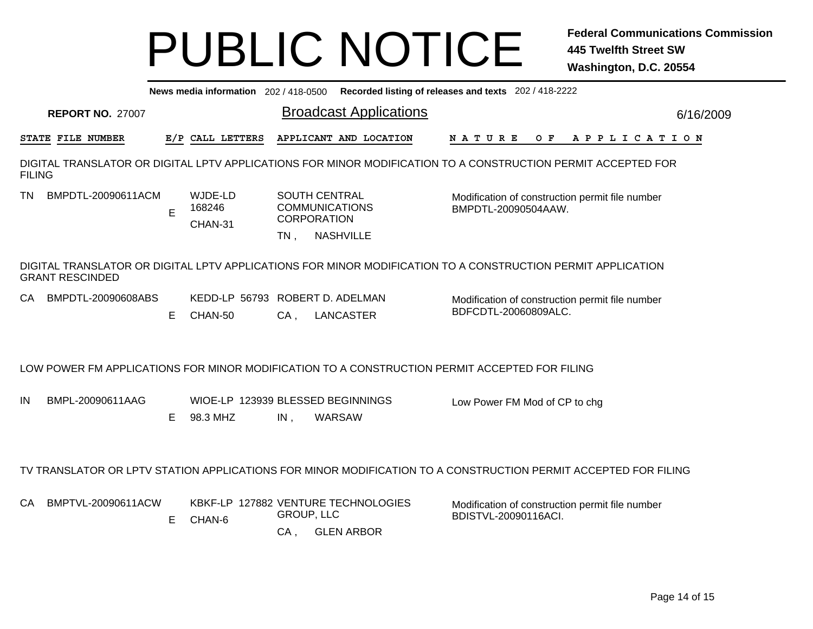| Recorded listing of releases and texts 202 / 418-2222<br>News media information 202 / 418-0500 |                         |    |                                               |                      |                                                                                                                |                                                                         |  |     |  |  |  |                       |
|------------------------------------------------------------------------------------------------|-------------------------|----|-----------------------------------------------|----------------------|----------------------------------------------------------------------------------------------------------------|-------------------------------------------------------------------------|--|-----|--|--|--|-----------------------|
|                                                                                                | <b>REPORT NO. 27007</b> |    |                                               |                      | <b>Broadcast Applications</b>                                                                                  |                                                                         |  |     |  |  |  | 6/16/2009             |
|                                                                                                | STATE FILE NUMBER       |    | E/P CALL LETTERS                              |                      | APPLICANT AND LOCATION                                                                                         | <b>NATURE</b>                                                           |  | O F |  |  |  | A P P L I C A T I O N |
| <b>FILING</b>                                                                                  |                         |    |                                               |                      | DIGITAL TRANSLATOR OR DIGITAL LPTV APPLICATIONS FOR MINOR MODIFICATION TO A CONSTRUCTION PERMIT ACCEPTED FOR   |                                                                         |  |     |  |  |  |                       |
| ΤN                                                                                             | BMPDTL-20090611ACM      | E  | WJDE-LD<br>168246<br>CHAN-31                  | $TN$ ,               | <b>SOUTH CENTRAL</b><br><b>COMMUNICATIONS</b><br><b>CORPORATION</b><br><b>NASHVILLE</b>                        | Modification of construction permit file number<br>BMPDTL-20090504AAW.  |  |     |  |  |  |                       |
|                                                                                                | <b>GRANT RESCINDED</b>  |    |                                               |                      | DIGITAL TRANSLATOR OR DIGITAL LPTV APPLICATIONS FOR MINOR MODIFICATION TO A CONSTRUCTION PERMIT APPLICATION    |                                                                         |  |     |  |  |  |                       |
| CA.                                                                                            | BMPDTL-20090608ABS      | E. | KEDD-LP 56793 ROBERT D. ADELMAN<br>CHAN-50    | $CA$ ,               | <b>LANCASTER</b>                                                                                               | Modification of construction permit file number<br>BDFCDTL-20060809ALC. |  |     |  |  |  |                       |
|                                                                                                |                         |    |                                               |                      | LOW POWER FM APPLICATIONS FOR MINOR MODIFICATION TO A CONSTRUCTION PERMIT ACCEPTED FOR FILING                  |                                                                         |  |     |  |  |  |                       |
| IN                                                                                             | BMPL-20090611AAG        | E. | WIOE-LP 123939 BLESSED BEGINNINGS<br>98.3 MHZ | IN,                  | WARSAW                                                                                                         | Low Power FM Mod of CP to chg                                           |  |     |  |  |  |                       |
|                                                                                                |                         |    |                                               |                      | TV TRANSLATOR OR LPTV STATION APPLICATIONS FOR MINOR MODIFICATION TO A CONSTRUCTION PERMIT ACCEPTED FOR FILING |                                                                         |  |     |  |  |  |                       |
| CA                                                                                             | BMPTVL-20090611ACW      | E. | CHAN-6                                        | GROUP, LLC<br>$CA$ , | KBKF-LP 127882 VENTURE TECHNOLOGIES<br><b>GLEN ARBOR</b>                                                       | Modification of construction permit file number<br>BDISTVL-20090116ACI. |  |     |  |  |  |                       |